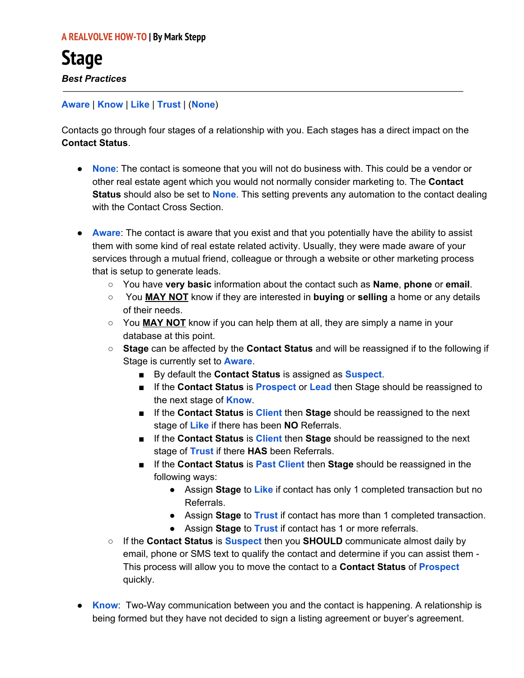## **Aware** | **Know** | **Like** | **Trust** | (**None**)

Contacts go through four stages of a relationship with you. Each stages has a direct impact on the **Contact Status**.

- **None**: The contact is someone that you will not do business with. This could be a vendor or other real estate agent which you would not normally consider marketing to. The **Contact Status** should also be set to **None**. This setting prevents any automation to the contact dealing with the Contact Cross Section.
- **Aware**: The contact is aware that you exist and that you potentially have the ability to assist them with some kind of real estate related activity. Usually, they were made aware of your services through a mutual friend, colleague or through a website or other marketing process that is setup to generate leads.
	- You have **very basic** information about the contact such as **Name**, **phone** or **email**.
	- You **MAY NOT** know if they are interested in **buying** or **selling** a home or any details of their needs.
	- You **MAY NOT** know if you can help them at all, they are simply a name in your database at this point.
	- **Stage** can be affected by the **Contact Status** and will be reassigned if to the following if Stage is currently set to **Aware**.
		- By default the **Contact Status** is assigned as **Suspect**.
		- If the **Contact Status** is **Prospect** or **Lead** then Stage should be reassigned to the next stage of **Know**.
		- If the **Contact Status** is **Client** then **Stage** should be reassigned to the next stage of **Like** if there has been **NO** Referrals.
		- If the **Contact Status** is **Client** then **Stage** should be reassigned to the next stage of **Trust** if there **HAS** been Referrals.
		- If the **Contact Status** is **Past Client** then **Stage** should be reassigned in the following ways:
			- Assign **Stage** to **Like** if contact has only 1 completed transaction but no Referrals.
			- Assign **Stage** to **Trust** if contact has more than 1 completed transaction.
			- Assign **Stage** to **Trust** if contact has 1 or more referrals.
	- If the **Contact Status** is **Suspect** then you **SHOULD** communicate almost daily by email, phone or SMS text to qualify the contact and determine if you can assist them - This process will allow you to move the contact to a **Contact Status** of **Prospect** quickly.
- **Know**: Two-Way communication between you and the contact is happening. A relationship is being formed but they have not decided to sign a listing agreement or buyer's agreement.